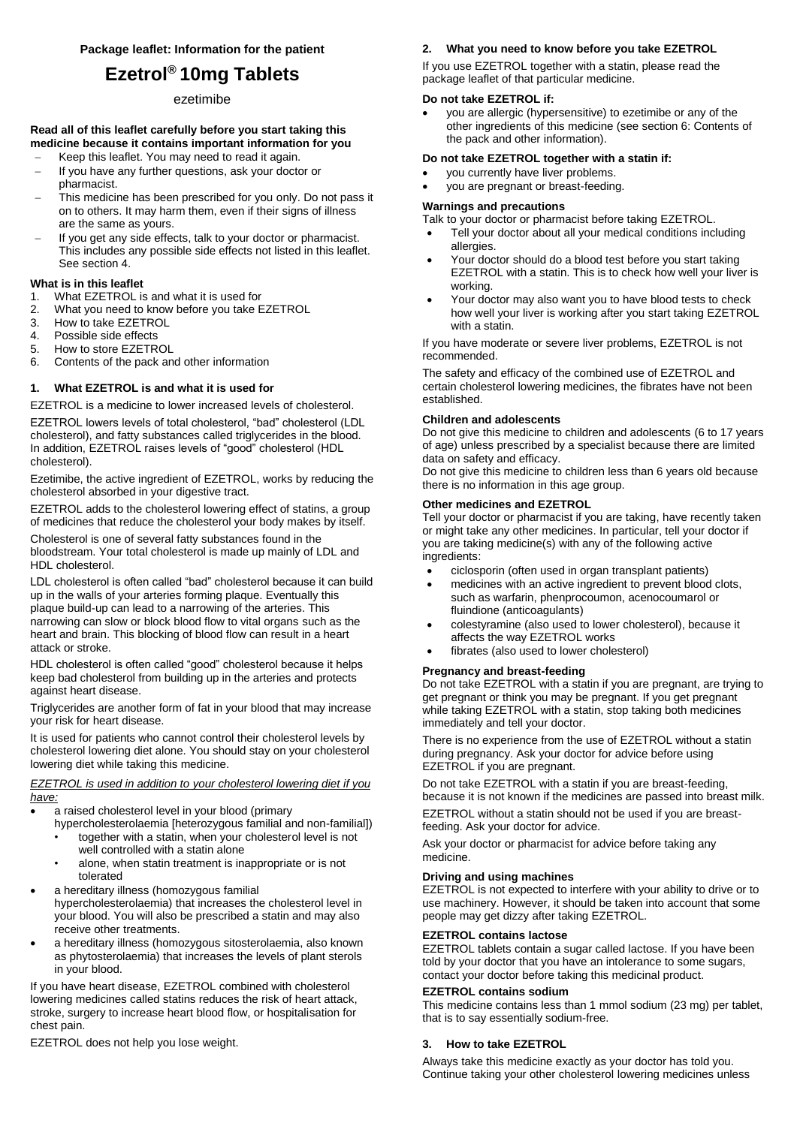# **Ezetrol® 10mg Tablets**

## ezetimibe

## **Read all of this leaflet carefully before you start taking this medicine because it contains important information for you**

- Keep this leaflet. You may need to read it again. - If you have any further questions, ask your doctor or pharmacist.
- This medicine has been prescribed for you only. Do not pass it on to others. It may harm them, even if their signs of illness are the same as yours.
- If you get any side effects, talk to your doctor or pharmacist. This includes any possible side effects not listed in this leaflet. See section 4.

# **What is in this leaflet**<br>1. What FZFTROL is

- What EZETROL is and what it is used for
- 2. What you need to know before you take EZETROL
- 3. How to take EZETROL<br>4. Possible side effects
- 4. Possible side effects<br>5. How to store EZETR
- 5. How to store EZETROL
- 6. Contents of the pack and other information

## **1. What EZETROL is and what it is used for**

EZETROL is a medicine to lower increased levels of cholesterol.

EZETROL lowers levels of total cholesterol, "bad" cholesterol (LDL cholesterol), and fatty substances called triglycerides in the blood. In addition, EZETROL raises levels of "good" cholesterol (HDL cholesterol).

Ezetimibe, the active ingredient of EZETROL, works by reducing the cholesterol absorbed in your digestive tract.

EZETROL adds to the cholesterol lowering effect of statins, a group of medicines that reduce the cholesterol your body makes by itself.

Cholesterol is one of several fatty substances found in the bloodstream. Your total cholesterol is made up mainly of LDL and HDL cholesterol.

LDL cholesterol is often called "bad" cholesterol because it can build up in the walls of your arteries forming plaque. Eventually this plaque build-up can lead to a narrowing of the arteries. This narrowing can slow or block blood flow to vital organs such as the heart and brain. This blocking of blood flow can result in a heart attack or stroke.

HDL cholesterol is often called "good" cholesterol because it helps keep bad cholesterol from building up in the arteries and protects against heart disease.

Triglycerides are another form of fat in your blood that may increase your risk for heart disease.

It is used for patients who cannot control their cholesterol levels by cholesterol lowering diet alone. You should stay on your cholesterol lowering diet while taking this medicine.

## *EZETROL is used in addition to your cholesterol lowering diet if you have:*

- a raised cholesterol level in your blood (primary
	- hypercholesterolaemia [heterozygous familial and non-familial]) • together with a statin, when your cholesterol level is not well controlled with a statin alone
		- alone, when statin treatment is inappropriate or is not tolerated
- a hereditary illness (homozygous familial hypercholesterolaemia) that increases the cholesterol level in your blood. You will also be prescribed a statin and may also receive other treatments.
- a hereditary illness (homozygous sitosterolaemia, also known as phytosterolaemia) that increases the levels of plant sterols in your blood.

If you have heart disease, EZETROL combined with cholesterol lowering medicines called statins reduces the risk of heart attack, stroke, surgery to increase heart blood flow, or hospitalisation for chest pain.

EZETROL does not help you lose weight.

# **2. What you need to know before you take EZETROL**

If you use EZETROL together with a statin, please read the package leaflet of that particular medicine.

#### **Do not take EZETROL if:**

 you are allergic (hypersensitive) to ezetimibe or any of the other ingredients of this medicine (see section 6: Contents of the pack and other information).

## **Do not take EZETROL together with a statin if:**

- you currently have liver problems.
- you are pregnant or breast-feeding.

#### **Warnings and precautions**

Talk to your doctor or pharmacist before taking EZETROL.

- Tell your doctor about all your medical conditions including allergies.
- Your doctor should do a blood test before you start taking EZETROL with a statin. This is to check how well your liver is working.
- Your doctor may also want you to have blood tests to check how well your liver is working after you start taking EZETROL with a statin.

If you have moderate or severe liver problems, EZETROL is not recommended.

The safety and efficacy of the combined use of EZETROL and certain cholesterol lowering medicines, the fibrates have not been established.

## **Children and adolescents**

Do not give this medicine to children and adolescents (6 to 17 years of age) unless prescribed by a specialist because there are limited data on safety and efficacy.

Do not give this medicine to children less than 6 years old because there is no information in this age group.

## **Other medicines and EZETROL**

Tell your doctor or pharmacist if you are taking, have recently taken or might take any other medicines. In particular, tell your doctor if you are taking medicine(s) with any of the following active ingredients:

- ciclosporin (often used in organ transplant patients)
- medicines with an active ingredient to prevent blood clots, such as warfarin, phenprocoumon, acenocoumarol or fluindione (anticoagulants)
- colestyramine (also used to lower cholesterol), because it affects the way EZETROL works
- fibrates (also used to lower cholesterol)

## **Pregnancy and breast-feeding**

Do not take EZETROL with a statin if you are pregnant, are trying to get pregnant or think you may be pregnant. If you get pregnant while taking EZETROL with a statin, stop taking both medicines immediately and tell your doctor.

There is no experience from the use of EZETROL without a statin during pregnancy. Ask your doctor for advice before using EZETROL if you are pregnant.

Do not take EZETROL with a statin if you are breast-feeding, because it is not known if the medicines are passed into breast milk. EZETROL without a statin should not be used if you are breastfeeding. Ask your doctor for advice.

Ask your doctor or pharmacist for advice before taking any medicine.

# **Driving and using machines**

EZETROL is not expected to interfere with your ability to drive or to use machinery. However, it should be taken into account that some people may get dizzy after taking EZETROL.

## **EZETROL contains lactose**

EZETROL tablets contain a sugar called lactose. If you have been told by your doctor that you have an intolerance to some sugars, contact your doctor before taking this medicinal product.

#### **EZETROL contains sodium**

This medicine contains less than 1 mmol sodium (23 mg) per tablet, that is to say essentially sodium-free.

## **3. How to take EZETROL**

Always take this medicine exactly as your doctor has told you. Continue taking your other cholesterol lowering medicines unless